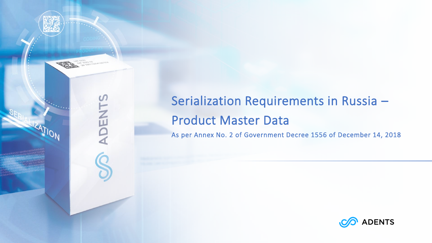

# Serialization Requirements in Russia – Product Master Data

As per Annex No. 2 of Government Decree 1556 of December 14, 2018

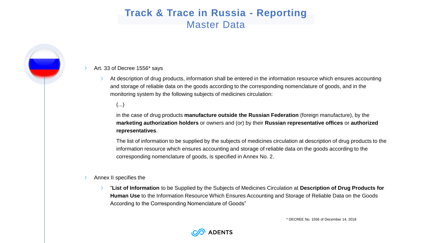### **Track & Trace in Russia - Reporting** Master Data

#### Art. 33 of Decree 1556\* says  $\rightarrow$

At description of drug products, information shall be entered in the information resource which ensures accounting and storage of reliable data on the goods according to the corresponding nomenclature of goods, and in the monitoring system by the following subjects of medicines circulation:

### (...)

in the case of drug products **manufacture outside the Russian Federation** (foreign manufacture), by the **marketing authorization holders** or owners and (or) by their **Russian representative offices** or **authorized representatives**.

The list of information to be supplied by the subjects of medicines circulation at description of drug products to the information resource which ensures accounting and storage of reliable data on the goods according to the corresponding nomenclature of goods, is specified in Annex No. 2.

#### Annex II specifies the

"**List of Information** to be Supplied by the Subjects of Medicines Circulation at **Description of Drug Products for**   $\sum$ **Human Use** to the Information Resource Which Ensures Accounting and Storage of Reliable Data on the Goods According to the Corresponding Nomenclature of Goods"

\* DECREE No. 1556 of December 14, 2018

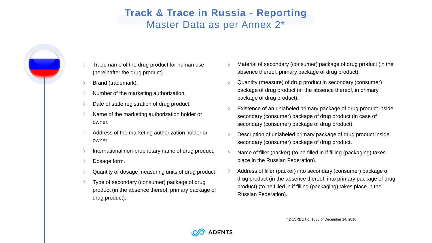## **Track & Trace in Russia - Reporting** Master Data as per Annex 2\*

- Trade name of the drug product for human use (hereinafter the drug product).
- Brand (trademark).
- Number of the marketing authorization.
- Date of state registration of drug product.
- Name of the marketing authorization holder or owner.
- Address of the marketing authorization holder or owner.
- International non-proprietary name of drug product.
- Dosage form.
- Quantity of dosage measuring units of drug product
- Type of secondary (consumer) package of drug product (in the absence thereof, primary package of drug product).
- Material of secondary (consumer) package of drug product (in the absence thereof, primary package of drug product).
- Quantity (measure) of drug product in secondary (consumer) package of drug product (in the absence thereof, in primary package of drug product).
- Existence of an unlabeled primary package of drug product inside secondary (consumer) package of drug product (in case of secondary (consumer) package of drug product).
- Description of unlabeled primary package of drug product inside secondary (consumer) package of drug product.
- Name of filler (packer) (to be filled in if filling (packaging) takes place in the Russian Federation).
- Address of filler (packer) into secondary (consumer) package of drug product (in the absence thereof, into primary package of drug product) (to be filled in if filling (packaging) takes place in the Russian Federation).

\* DECREE No. 1556 of December 14, 2018